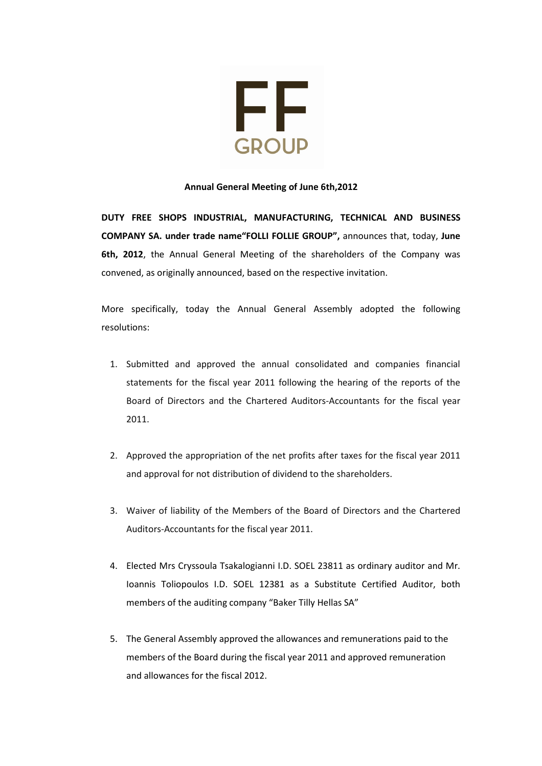

## Annual General Μeeting of June 6th,2012

DUTY FREE SHOPS INDUSTRIAL, MANUFACTURING, TECHNICAL AND BUSINESS COMPANY SA. under trade name"FOLLI FOLLIE GROUP", announces that, today, June 6th, 2012, the Annual General Meeting of the shareholders of the Company was convened, as originally announced, based on the respective invitation.

More specifically, today the Annual General Assembly adopted the following resolutions:

- 1. Submitted and approved the annual consolidated and companies financial statements for the fiscal year 2011 following the hearing of the reports of the Board of Directors and the Chartered Auditors-Accountants for the fiscal year 2011.
- 2. Approved the appropriation of the net profits after taxes for the fiscal year 2011 and approval for not distribution of dividend to the shareholders.
- 3. Waiver of liability of the Members of the Board of Directors and the Chartered Auditors-Accountants for the fiscal year 2011.
- 4. Elected Mrs Cryssoula Tsakalogianni I.D. SOEL 23811 as ordinary auditor and Mr. Ioannis Toliopoulos I.D. SOEL 12381 as a Substitute Certified Auditor, both members of the auditing company "Baker Tilly Hellas SA"
- 5. The General Assembly approved the allowances and remunerations paid to the members of the Board during the fiscal year 2011 and approved remuneration and allowances for the fiscal 2012.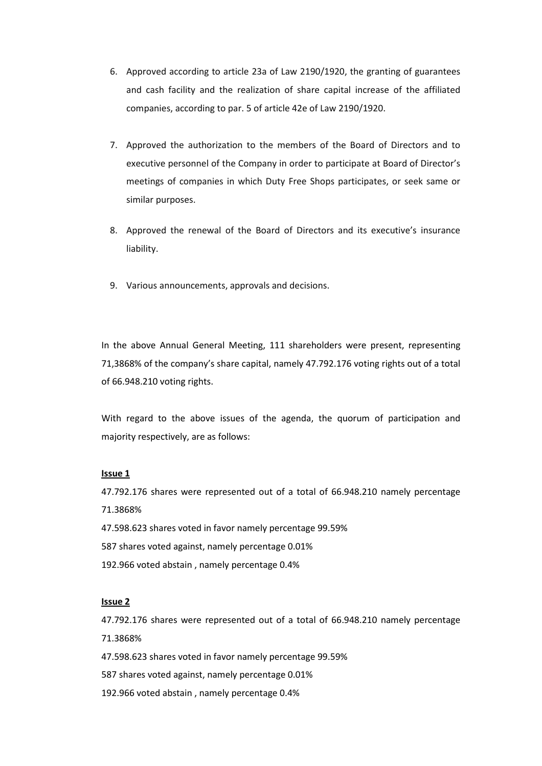- 6. Approved according to article 23a of Law 2190/1920, the granting of guarantees and cash facility and the realization of share capital increase of the affiliated companies, according to par. 5 of article 42e of Law 2190/1920.
- 7. Approved the authorization to the members of the Board of Directors and to executive personnel of the Company in order to participate at Board of Director's meetings of companies in which Duty Free Shops participates, or seek same or similar purposes.
- 8. Approved the renewal of the Board of Directors and its executive's insurance liability.
- 9. Various announcements, approvals and decisions.

In the above Annual General Meeting, 111 shareholders were present, representing 71,3868% of the company's share capital, namely 47.792.176 voting rights out of a total of 66.948.210 voting rights.

With regard to the above issues of the agenda, the quorum of participation and majority respectively, are as follows:

#### Issue 1

47.792.176 shares were represented out of a total of 66.948.210 namely percentage 71.3868%

- 47.598.623 shares voted in favor namely percentage 99.59%
- 587 shares voted against, namely percentage 0.01%
- 192.966 voted abstain , namely percentage 0.4%

# Issue 2

47.792.176 shares were represented out of a total of 66.948.210 namely percentage 71.3868%

- 47.598.623 shares voted in favor namely percentage 99.59%
- 587 shares voted against, namely percentage 0.01%
- 192.966 voted abstain , namely percentage 0.4%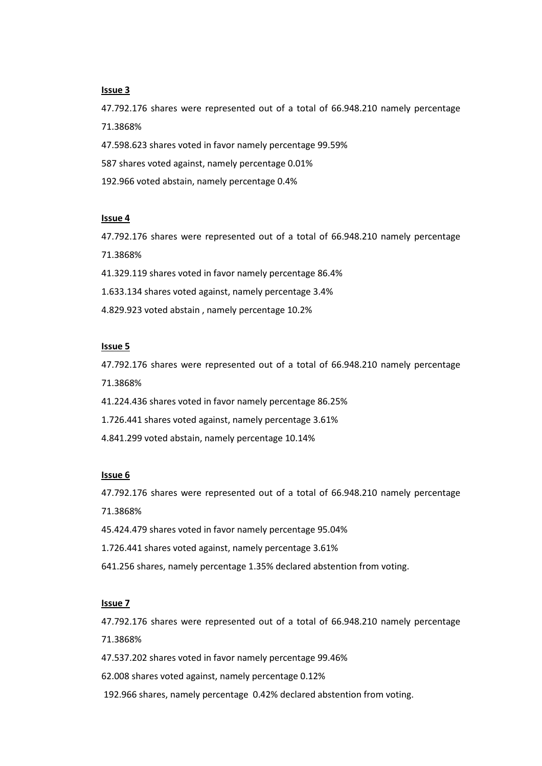## Issue 3

47.792.176 shares were represented out of a total of 66.948.210 namely percentage 71.3868%

47.598.623 shares voted in favor namely percentage 99.59%

587 shares voted against, namely percentage 0.01%

192.966 voted abstain, namely percentage 0.4%

#### Issue 4

47.792.176 shares were represented out of a total of 66.948.210 namely percentage 71.3868%

41.329.119 shares voted in favor namely percentage 86.4%

1.633.134 shares voted against, namely percentage 3.4%

4.829.923 voted abstain , namely percentage 10.2%

### Issue 5

47.792.176 shares were represented out of a total of 66.948.210 namely percentage 71.3868%

41.224.436 shares voted in favor namely percentage 86.25%

1.726.441 shares voted against, namely percentage 3.61%

4.841.299 voted abstain, namely percentage 10.14%

## Issue 6

47.792.176 shares were represented out of a total of 66.948.210 namely percentage 71.3868%

45.424.479 shares voted in favor namely percentage 95.04%

1.726.441 shares voted against, namely percentage 3.61%

641.256 shares, namely percentage 1.35% declared abstention from voting.

#### Issue 7

47.792.176 shares were represented out of a total of 66.948.210 namely percentage 71.3868%

47.537.202 shares voted in favor namely percentage 99.46%

62.008 shares voted against, namely percentage 0.12%

192.966 shares, namely percentage 0.42% declared abstention from voting.